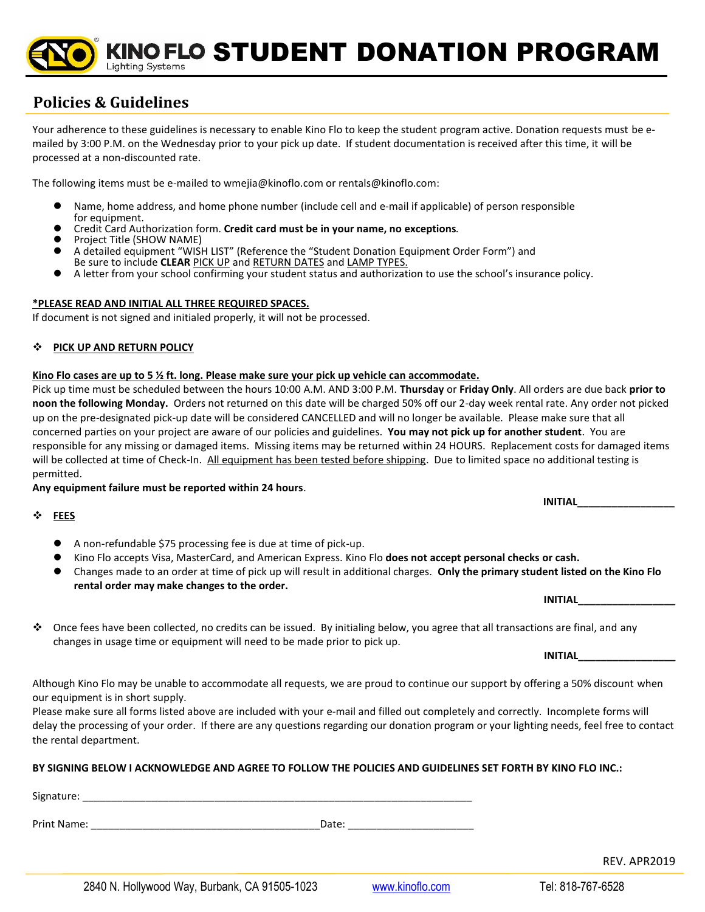INO FLO STUDENT DONATION PROGRAM **Lighting Systems** 

# **Policies & Guidelines**

Your adherence to these guidelines is necessary to enable Kino Flo to keep the student program active. Donation requests must be emailed by 3:00 P.M. on the Wednesday prior to your pick up date. If student documentation is received after this time, it will be processed at a non-discounted rate.

The following items must be e-mailed to wmejia@kinoflo.com or rentals@kinoflo.com:

- ⚫ Name, home address, and home phone number (include cell and e-mail if applicable) of person responsible for equipment.
- ⚫ Credit Card Authorization form. **Credit card must be in your name, no exceptions**.
- ⚫ Project Title (SHOW NAME)
- ⚫ A detailed equipment "WISH LIST" (Reference the "Student Donation Equipment Order Form") and Be sure to include **CLEAR** PICK UP and RETURN DATES and LAMP TYPES.
- ⚫ A letter from your school confirming your student status and authorization to use the school's insurance policy.

## **\*PLEASE READ AND INITIAL ALL THREE REQUIRED SPACES.**

If document is not signed and initialed properly, it will not be processed.

### ❖ **PICK UP AND RETURN POLICY**

#### **Kino Flo cases are up to 5 ½ ft. long. Please make sure your pick up vehicle can accommodate.**

Pick up time must be scheduled between the hours 10:00 A.M. AND 3:00 P.M. **Thursday** or **Friday Only**. All orders are due back **prior to noon the following Monday.** Orders not returned on this date will be charged 50% off our 2-day week rental rate. Any order not picked up on the pre-designated pick-up date will be considered CANCELLED and will no longer be available. Please make sure that all concerned parties on your project are aware of our policies and guidelines. **You may not pick up for another student**. You are responsible for any missing or damaged items. Missing items may be returned within 24 HOURS. Replacement costs for damaged items will be collected at time of Check-In. All equipment has been tested before shipping. Due to limited space no additional testing is permitted.

**Any equipment failure must be reported within 24 hours**.

❖ **FEES** 

- A non-refundable \$75 processing fee is due at time of pick-up.
- ⚫ Kino Flo accepts Visa, MasterCard, and American Express. Kino Flo **does not accept personal checks or cash.**
- ⚫ Changes made to an order at time of pick up will result in additional charges. **Only the primary student listed on the Kino Flo rental order may make changes to the order.**

❖ Once fees have been collected, no credits can be issued. By initialing below, you agree that all transactions are final, and any changes in usage time or equipment will need to be made prior to pick up.

Although Kino Flo may be unable to accommodate all requests, we are proud to continue our support by offering a 50% discount when our equipment is in short supply.

Please make sure all forms listed above are included with your e-mail and filled out completely and correctly. Incomplete forms will delay the processing of your order. If there are any questions regarding our donation program or your lighting needs, feel free to contact the rental department.

# **BY SIGNING BELOW I ACKNOWLEDGE AND AGREE TO FOLLOW THE POLICIES AND GUIDELINES SET FORTH BY KINO FLO INC.:**

| Signature:  |       |              |
|-------------|-------|--------------|
| Print Name: | Date: |              |
|             |       | REV. APR2019 |

 **INITIAL\_\_\_\_\_\_\_\_\_\_\_\_\_\_\_\_\_**

 **INITIAL\_\_\_\_\_\_\_\_\_\_\_\_\_\_\_\_\_**

 $\blacksquare$   $\blacksquare$   $\blacksquare$   $\blacksquare$   $\blacksquare$   $\blacksquare$   $\blacksquare$   $\blacksquare$   $\blacksquare$   $\blacksquare$   $\blacksquare$   $\blacksquare$   $\blacksquare$   $\blacksquare$   $\blacksquare$   $\blacksquare$   $\blacksquare$   $\blacksquare$   $\blacksquare$   $\blacksquare$   $\blacksquare$   $\blacksquare$   $\blacksquare$   $\blacksquare$   $\blacksquare$   $\blacksquare$   $\blacksquare$   $\blacksquare$   $\blacksquare$   $\blacksquare$   $\blacksquare$   $\blacks$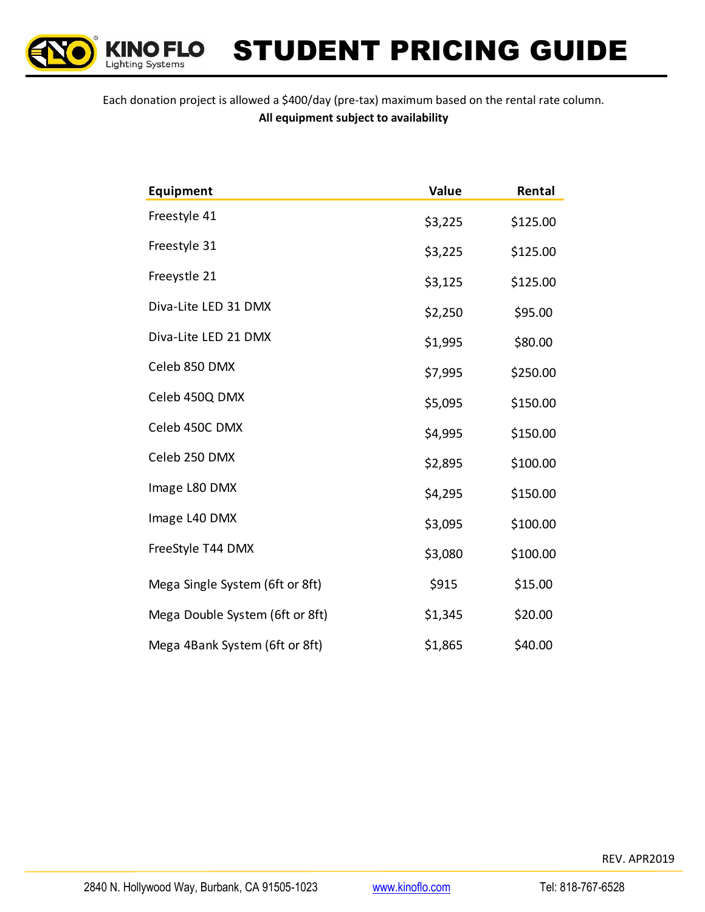

KINO FLO STUDENT PRICING GUIDE

Each donation project is allowed a \$400/day (pre-tax) maximum based on the rental rate column. **All equipment subject to availability**

| Equipment                       | Value   | Rental   |
|---------------------------------|---------|----------|
| Freestyle 41                    | \$3,225 | \$125.00 |
| Freestyle 31                    | \$3,225 | \$125.00 |
| Freeystle 21                    | \$3,125 | \$125.00 |
| Diva-Lite LED 31 DMX            | \$2,250 | \$95.00  |
| Diva-Lite LED 21 DMX            | \$1,995 | \$80.00  |
| Celeb 850 DMX                   | \$7,995 | \$250.00 |
| Celeb 450Q DMX                  | \$5,095 | \$150.00 |
| Celeb 450C DMX                  | \$4,995 | \$150.00 |
| Celeb 250 DMX                   | \$2,895 | \$100.00 |
| Image L80 DMX                   | \$4,295 | \$150.00 |
| Image L40 DMX                   | \$3,095 | \$100.00 |
| FreeStyle T44 DMX               | \$3,080 | \$100.00 |
| Mega Single System (6ft or 8ft) | \$915   | \$15.00  |
| Mega Double System (6ft or 8ft) | \$1,345 | \$20.00  |
| Mega 4Bank System (6ft or 8ft)  | \$1,865 | \$40.00  |

REV. APR2019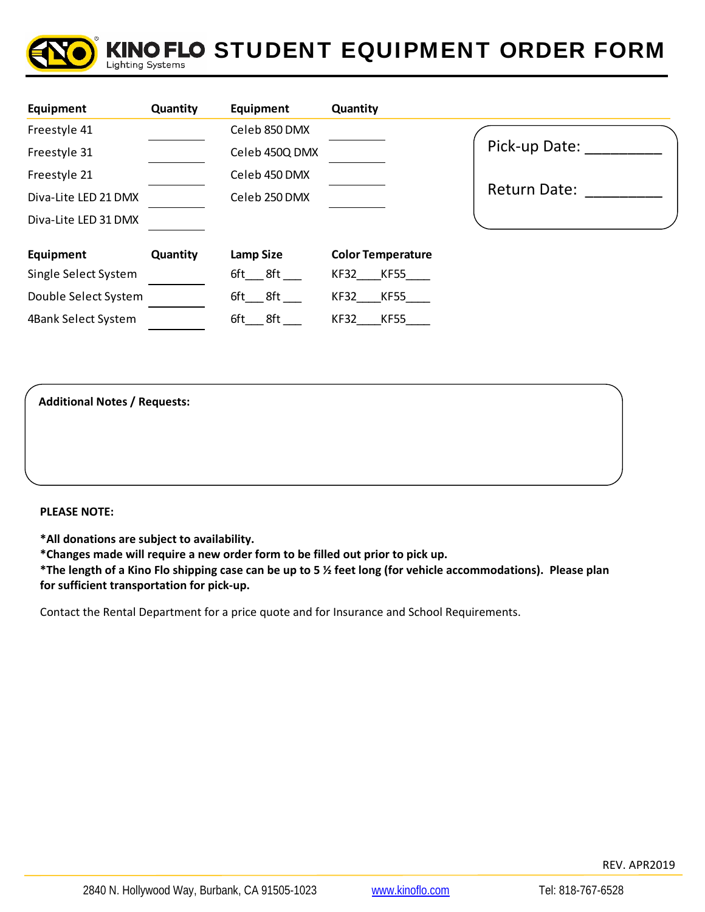

#### KINO FLO STUDENT EQUIPMENT ORDER FORM **Lighting Systems**

| Equipment            | Quantity | Equipment      | Quantity                   |                     |
|----------------------|----------|----------------|----------------------------|---------------------|
| Freestyle 41         |          | Celeb 850 DMX  |                            |                     |
| Freestyle 31         |          | Celeb 450Q DMX |                            | Pick-up Date:       |
| Freestyle 21         |          | Celeb 450 DMX  |                            |                     |
| Diva-Lite LED 21 DMX |          | Celeb 250 DMX  |                            | <b>Return Date:</b> |
| Diva-Lite LED 31 DMX |          |                |                            |                     |
| Equipment            | Quantity | Lamp Size      | <b>Color Temperature</b>   |                     |
| Single Select System |          | $6ft$ $8ft$    | KF55<br>KF32               |                     |
| Double Select System |          | 8ft<br>6ft -   | KF32<br><b>KF55</b>        |                     |
| 4Bank Select System  |          | 8ft<br>6ft     | <b>KF32</b><br><b>KF55</b> |                     |

**Additional Notes / Requests:** 

**PLEASE NOTE:** 

**\*All donations are subject to availability.**

**\*Changes made will require a new order form to be filled out prior to pick up.**

**\*The length of a Kino Flo shipping case can be up to 5 ½ feet long (for vehicle accommodations). Please plan for sufficient transportation for pick‐up.** 

Contact the Rental Department for a price quote and for Insurance and School Requirements.